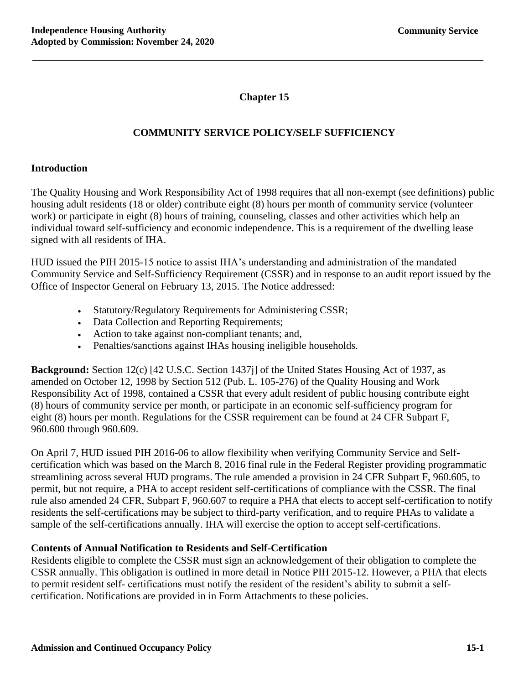**Chapter 15**

### **COMMUNITY SERVICE POLICY/SELF SUFFICIENCY**

#### **Introduction**

The Quality Housing and Work Responsibility Act of 1998 requires that all non-exempt (see definitions) public housing adult residents (18 or older) contribute eight (8) hours per month of community service (volunteer work) or participate in eight (8) hours of training, counseling, classes and other activities which help an individual toward self-sufficiency and economic independence. This is a requirement of the dwelling lease signed with all residents of IHA.

HUD issued the PIH 2015-15 notice to assist IHA's understanding and administration of the mandated Community Service and Self-Sufficiency Requirement (CSSR) and in response to an audit report issued by the Office of Inspector General on February 13, 2015. The Notice addressed:

- Statutory/Regulatory Requirements for Administering CSSR;
- Data Collection and Reporting Requirements;
- Action to take against non-compliant tenants; and,
- Penalties/sanctions against IHAs housing ineligible households.

**Background:** Section 12(c) [42 U.S.C. Section 1437j] of the United States Housing Act of 1937, as amended on October 12, 1998 by Section 512 (Pub. L. 105-276) of the Quality Housing and Work Responsibility Act of 1998, contained a CSSR that every adult resident of public housing contribute eight (8) hours of community service per month, or participate in an economic self-sufficiency program for eight (8) hours per month. Regulations for the CSSR requirement can be found at 24 CFR Subpart F, 960.600 through 960.609.

On April 7, HUD issued PIH 2016-06 to allow flexibility when verifying Community Service and Selfcertification which was based on the March 8, 2016 final rule in the Federal Register providing programmatic streamlining across several HUD programs. The rule amended a provision in 24 CFR Subpart F, 960.605, to permit, but not require, a PHA to accept resident self-certifications of compliance with the CSSR. The final rule also amended 24 CFR, Subpart F, 960.607 to require a PHA that elects to accept self-certification to notify residents the self-certifications may be subject to third-party verification, and to require PHAs to validate a sample of the self-certifications annually. IHA will exercise the option to accept self-certifications.

#### **Contents of Annual Notification to Residents and Self-Certification**

Residents eligible to complete the CSSR must sign an acknowledgement of their obligation to complete the CSSR annually. This obligation is outlined in more detail in Notice PIH 2015-12. However, a PHA that elects to permit resident self- certifications must notify the resident of the resident's ability to submit a selfcertification. Notifications are provided in in Form Attachments to these policies.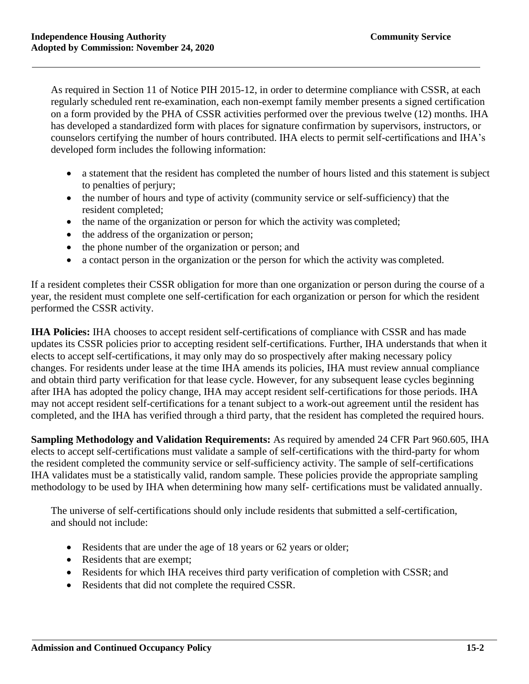As required in Section 11 of Notice PIH 2015-12, in order to determine compliance with CSSR, at each regularly scheduled rent re-examination, each non-exempt family member presents a signed certification on a form provided by the PHA of CSSR activities performed over the previous twelve (12) months. IHA has developed a standardized form with places for signature confirmation by supervisors, instructors, or counselors certifying the number of hours contributed. IHA elects to permit self-certifications and IHA's developed form includes the following information:

- a statement that the resident has completed the number of hours listed and this statement is subject to penalties of perjury;
- the number of hours and type of activity (community service or self-sufficiency) that the resident completed;
- the name of the organization or person for which the activity was completed;
- the address of the organization or person;
- the phone number of the organization or person; and
- a contact person in the organization or the person for which the activity was completed.

If a resident completes their CSSR obligation for more than one organization or person during the course of a year, the resident must complete one self-certification for each organization or person for which the resident performed the CSSR activity.

**IHA Policies:** IHA chooses to accept resident self-certifications of compliance with CSSR and has made updates its CSSR policies prior to accepting resident self-certifications. Further, IHA understands that when it elects to accept self-certifications, it may only may do so prospectively after making necessary policy changes. For residents under lease at the time IHA amends its policies, IHA must review annual compliance and obtain third party verification for that lease cycle. However, for any subsequent lease cycles beginning after IHA has adopted the policy change, IHA may accept resident self-certifications for those periods. IHA may not accept resident self-certifications for a tenant subject to a work-out agreement until the resident has completed, and the IHA has verified through a third party, that the resident has completed the required hours.

**Sampling Methodology and Validation Requirements:** As required by amended 24 CFR Part 960.605, IHA elects to accept self-certifications must validate a sample of self-certifications with the third-party for whom the resident completed the community service or self-sufficiency activity. The sample of self-certifications IHA validates must be a statistically valid, random sample. These policies provide the appropriate sampling methodology to be used by IHA when determining how many self- certifications must be validated annually.

The universe of self-certifications should only include residents that submitted a self-certification, and should not include:

- Residents that are under the age of 18 years or 62 years or older;
- Residents that are exempt;
- Residents for which IHA receives third party verification of completion with CSSR; and
- Residents that did not complete the required CSSR.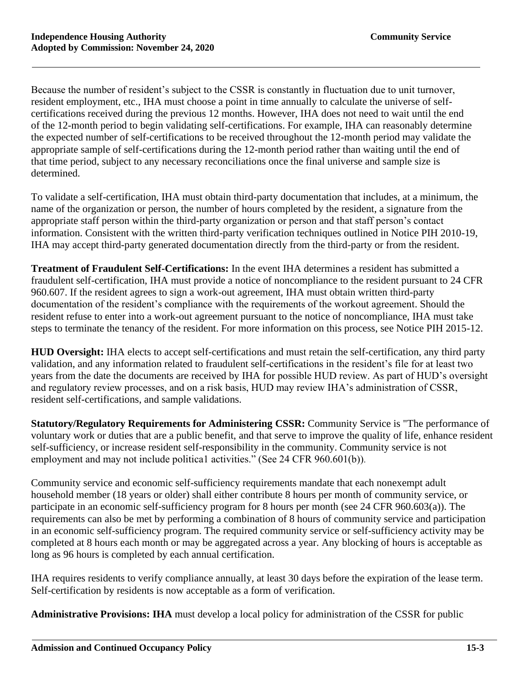Because the number of resident's subject to the CSSR is constantly in fluctuation due to unit turnover, resident employment, etc., IHA must choose a point in time annually to calculate the universe of selfcertifications received during the previous 12 months. However, IHA does not need to wait until the end of the 12-month period to begin validating self-certifications. For example, IHA can reasonably determine the expected number of self-certifications to be received throughout the 12-month period may validate the appropriate sample of self-certifications during the 12-month period rather than waiting until the end of that time period, subject to any necessary reconciliations once the final universe and sample size is determined.

To validate a self-certification, IHA must obtain third-party documentation that includes, at a minimum, the name of the organization or person, the number of hours completed by the resident, a signature from the appropriate staff person within the third-party organization or person and that staff person's contact information. Consistent with the written third-party verification techniques outlined in Notice PIH 2010-19, IHA may accept third-party generated documentation directly from the third-party or from the resident.

**Treatment of Fraudulent Self-Certifications:** In the event IHA determines a resident has submitted a fraudulent self-certification, IHA must provide a notice of noncompliance to the resident pursuant to 24 CFR 960.607. If the resident agrees to sign a work-out agreement, IHA must obtain written third-party documentation of the resident's compliance with the requirements of the workout agreement. Should the resident refuse to enter into a work-out agreement pursuant to the notice of noncompliance, IHA must take steps to terminate the tenancy of the resident. For more information on this process, see Notice PIH 2015-12.

**HUD Oversight:** IHA elects to accept self-certifications and must retain the self-certification, any third party validation, and any information related to fraudulent self-certifications in the resident's file for at least two years from the date the documents are received by IHA for possible HUD review. As part of HUD's oversight and regulatory review processes, and on a risk basis, HUD may review IHA's administration of CSSR, resident self-certifications, and sample validations.

**Statutory/Regulatory Requirements for Administering CSSR:** Community Service is "The performance of voluntary work or duties that are a public benefit, and that serve to improve the quality of life, enhance resident self-sufficiency, or increase resident self-responsibility in the community. Community service is not employment and may not include politica1 activities." (See 24 CFR 960.601(b)).

Community service and economic self-sufficiency requirements mandate that each nonexempt adult household member (18 years or older) shall either contribute 8 hours per month of community service, or participate in an economic self-sufficiency program for 8 hours per month (see 24 CFR 960.603(a)). The requirements can also be met by performing a combination of 8 hours of community service and participation in an economic self-sufficiency program. The required community service or self-sufficiency activity may be completed at 8 hours each month or may be aggregated across a year. Any blocking of hours is acceptable as long as 96 hours is completed by each annual certification.

IHA requires residents to verify compliance annually, at least 30 days before the expiration of the lease term. Self-certification by residents is now acceptable as a form of verification.

**Administrative Provisions: IHA** must develop a local policy for administration of the CSSR for public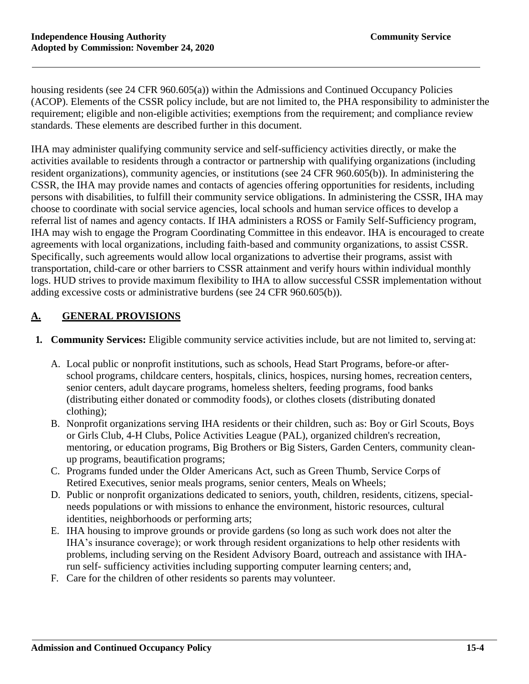housing residents (see 24 CFR 960.605(a)) within the Admissions and Continued Occupancy Policies (ACOP). Elements of the CSSR policy include, but are not limited to, the PHA responsibility to administer the requirement; eligible and non-eligible activities; exemptions from the requirement; and compliance review standards. These elements are described further in this document.

IHA may administer qualifying community service and self-sufficiency activities directly, or make the activities available to residents through a contractor or partnership with qualifying organizations (including resident organizations), community agencies, or institutions (see 24 CFR 960.605(b)). In administering the CSSR, the IHA may provide names and contacts of agencies offering opportunities for residents, including persons with disabilities, to fulfill their community service obligations. In administering the CSSR, IHA may choose to coordinate with social service agencies, local schools and human service offices to develop a referral list of names and agency contacts. If IHA administers a ROSS or Family Self-Sufficiency program, IHA may wish to engage the Program Coordinating Committee in this endeavor. IHA is encouraged to create agreements with local organizations, including faith-based and community organizations, to assist CSSR. Specifically, such agreements would allow local organizations to advertise their programs, assist with transportation, child-care or other barriers to CSSR attainment and verify hours within individual monthly logs. HUD strives to provide maximum flexibility to IHA to allow successful CSSR implementation without adding excessive costs or administrative burdens (see 24 CFR 960.605(b)).

### **A. GENERAL PROVISIONS**

- **1. Community Services:** Eligible community service activities include, but are not limited to, serving at:
	- A. Local public or nonprofit institutions, such as schools, Head Start Programs, before-or afterschool programs, childcare centers, hospitals, clinics, hospices, nursing homes, recreation centers, senior centers, adult daycare programs, homeless shelters, feeding programs, food banks (distributing either donated or commodity foods), or clothes closets (distributing donated clothing);
	- B. Nonprofit organizations serving IHA residents or their children, such as: Boy or Girl Scouts, Boys or Girls Club, 4-H Clubs, Police Activities League (PAL), organized children's recreation, mentoring, or education programs, Big Brothers or Big Sisters, Garden Centers, community cleanup programs, beautification programs;
	- C. Programs funded under the Older Americans Act, such as Green Thumb, Service Corps of Retired Executives, senior meals programs, senior centers, Meals on Wheels;
	- D. Public or nonprofit organizations dedicated to seniors, youth, children, residents, citizens, specialneeds populations or with missions to enhance the environment, historic resources, cultural identities, neighborhoods or performing arts;
	- E. IHA housing to improve grounds or provide gardens (so long as such work does not alter the IHA's insurance coverage); or work through resident organizations to help other residents with problems, including serving on the Resident Advisory Board, outreach and assistance with IHArun self- sufficiency activities including supporting computer learning centers; and,
	- F. Care for the children of other residents so parents may volunteer.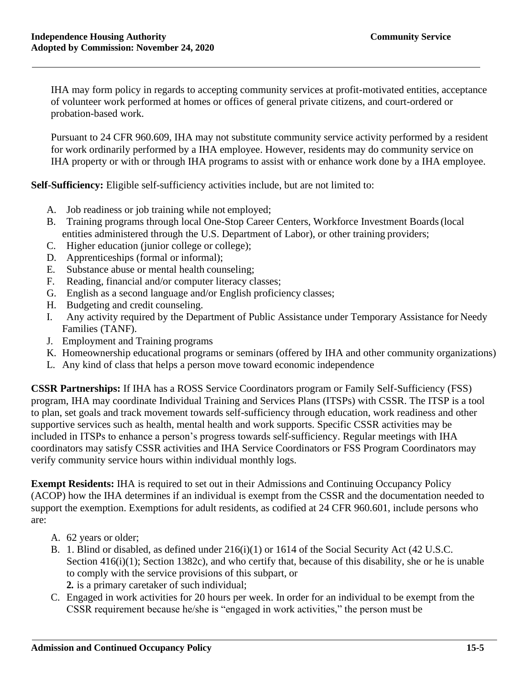IHA may form policy in regards to accepting community services at profit-motivated entities, acceptance of volunteer work performed at homes or offices of general private citizens, and court-ordered or probation-based work.

Pursuant to 24 CFR 960.609, IHA may not substitute community service activity performed by a resident for work ordinarily performed by a IHA employee. However, residents may do community service on IHA property or with or through IHA programs to assist with or enhance work done by a IHA employee.

**Self-Sufficiency:** Eligible self-sufficiency activities include, but are not limited to:

- A. Job readiness or job training while not employed;
- B. Training programs through local One-Stop Career Centers, Workforce Investment Boards(local entities administered through the U.S. Department of Labor), or other training providers;
- C. Higher education (junior college or college);
- D. Apprenticeships (formal or informal);
- E. Substance abuse or mental health counseling;
- F. Reading, financial and/or computer literacy classes;
- G. English as a second language and/or English proficiency classes;
- H. Budgeting and credit counseling.
- I. Any activity required by the Department of Public Assistance under Temporary Assistance for Needy Families (TANF).
- J. Employment and Training programs
- K. Homeownership educational programs or seminars (offered by IHA and other community organizations)
- L. Any kind of class that helps a person move toward economic independence

**CSSR Partnerships:** If IHA has a ROSS Service Coordinators program or Family Self-Sufficiency (FSS) program, IHA may coordinate Individual Training and Services Plans (ITSPs) with CSSR. The ITSP is a tool to plan, set goals and track movement towards self-sufficiency through education, work readiness and other supportive services such as health, mental health and work supports. Specific CSSR activities may be included in ITSPs to enhance a person's progress towards self-sufficiency. Regular meetings with IHA coordinators may satisfy CSSR activities and IHA Service Coordinators or FSS Program Coordinators may verify community service hours within individual monthly logs.

**Exempt Residents:** IHA is required to set out in their Admissions and Continuing Occupancy Policy (ACOP) how the IHA determines if an individual is exempt from the CSSR and the documentation needed to support the exemption. Exemptions for adult residents, as codified at 24 CFR 960.601, include persons who are:

- A. 62 years or older;
- B. 1. Blind or disabled, as defined under 216(i)(1) or 1614 of the Social Security Act (42 U.S.C. Section  $416(i)(1)$ ; Section 1382c), and who certify that, because of this disability, she or he is unable to comply with the service provisions of this subpart, or
	- **2.** is a primary caretaker of such individual;
- C. Engaged in work activities for 20 hours per week. In order for an individual to be exempt from the CSSR requirement because he/she is "engaged in work activities," the person must be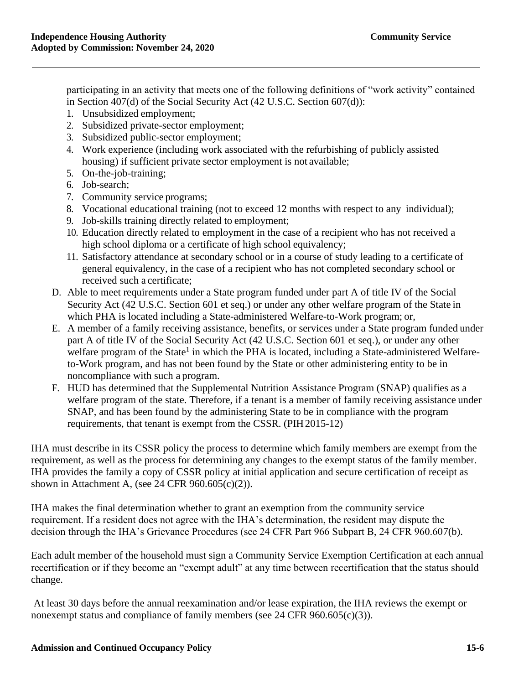participating in an activity that meets one of the following definitions of "work activity" contained in Section 407(d) of the Social Security Act (42 U.S.C. Section 607(d)):

- 1. Unsubsidized employment;
- 2. Subsidized private-sector employment;
- 3. Subsidized public-sector employment;
- 4. Work experience (including work associated with the refurbishing of publicly assisted housing) if sufficient private sector employment is not available;
- 5. On-the-job-training;
- 6. Job-search;
- 7. Community service programs;
- 8. Vocational educational training (not to exceed 12 months with respect to any individual);
- 9. Job-skills training directly related to employment;
- 10. Education directly related to employment in the case of a recipient who has not received a high school diploma or a certificate of high school equivalency;
- 11. Satisfactory attendance at secondary school or in a course of study leading to a certificate of general equivalency, in the case of a recipient who has not completed secondary school or received such a certificate;
- D. Able to meet requirements under a State program funded under part A of title IV of the Social Security Act (42 U.S.C. Section 601 et seq.) or under any other welfare program of the State in which PHA is located including a State-administered Welfare-to-Work program; or,
- E. A member of a family receiving assistance, benefits, or services under a State program funded under part A of title IV of the Social Security Act (42 U.S.C. Section 601 et seq.), or under any other welfare program of the State<sup>1</sup> in which the PHA is located, including a State-administered Welfareto-Work program, and has not been found by the State or other administering entity to be in noncompliance with such a program.
- F. HUD has determined that the Supplemental Nutrition Assistance Program (SNAP) qualifies as a welfare program of the state. Therefore, if a tenant is a member of family receiving assistance under SNAP, and has been found by the administering State to be in compliance with the program requirements, that tenant is exempt from the CSSR. (PIH2015-12)

IHA must describe in its CSSR policy the process to determine which family members are exempt from the requirement, as well as the process for determining any changes to the exempt status of the family member. IHA provides the family a copy of CSSR policy at initial application and secure certification of receipt as shown in Attachment A, (see 24 CFR 960.605(c)(2)).

IHA makes the final determination whether to grant an exemption from the community service requirement. If a resident does not agree with the IHA's determination, the resident may dispute the decision through the IHA's Grievance Procedures (see 24 CFR Part 966 Subpart B, 24 CFR 960.607(b).

Each adult member of the household must sign a Community Service Exemption Certification at each annual recertification or if they become an "exempt adult" at any time between recertification that the status should change.

At least 30 days before the annual reexamination and/or lease expiration, the IHA reviews the exempt or nonexempt status and compliance of family members (see 24 CFR  $960.605(c)(3)$ ).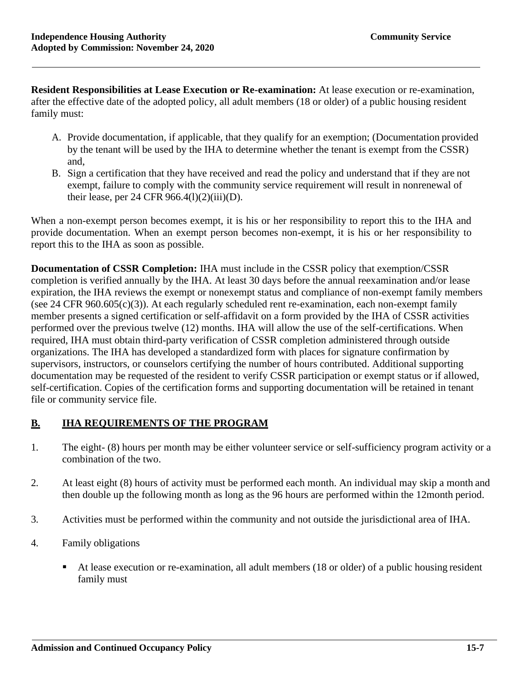**Resident Responsibilities at Lease Execution or Re-examination:** At lease execution or re-examination, after the effective date of the adopted policy, all adult members (18 or older) of a public housing resident family must:

- A. Provide documentation, if applicable, that they qualify for an exemption; (Documentation provided by the tenant will be used by the IHA to determine whether the tenant is exempt from the CSSR) and,
- B. Sign a certification that they have received and read the policy and understand that if they are not exempt, failure to comply with the community service requirement will result in nonrenewal of their lease, per 24 CFR  $966.4(1)(2)(iii)(D)$ .

When a non-exempt person becomes exempt, it is his or her responsibility to report this to the IHA and provide documentation. When an exempt person becomes non-exempt, it is his or her responsibility to report this to the IHA as soon as possible.

**Documentation of CSSR Completion:** IHA must include in the CSSR policy that exemption/CSSR completion is verified annually by the IHA. At least 30 days before the annual reexamination and/or lease expiration, the IHA reviews the exempt or nonexempt status and compliance of non-exempt family members (see 24 CFR 960.605 $(c)(3)$ ). At each regularly scheduled rent re-examination, each non-exempt family member presents a signed certification or self-affidavit on a form provided by the IHA of CSSR activities performed over the previous twelve (12) months. IHA will allow the use of the self-certifications. When required, IHA must obtain third-party verification of CSSR completion administered through outside organizations. The IHA has developed a standardized form with places for signature confirmation by supervisors, instructors, or counselors certifying the number of hours contributed. Additional supporting documentation may be requested of the resident to verify CSSR participation or exempt status or if allowed, self-certification. Copies of the certification forms and supporting documentation will be retained in tenant file or community service file.

### **B. IHA REQUIREMENTS OF THE PROGRAM**

- 1. The eight- (8) hours per month may be either volunteer service or self-sufficiency program activity or a combination of the two.
- 2. At least eight (8) hours of activity must be performed each month. An individual may skip a month and then double up the following month as long as the 96 hours are performed within the 12month period.
- 3. Activities must be performed within the community and not outside the jurisdictional area of IHA.
- 4. Family obligations
	- At lease execution or re-examination, all adult members (18 or older) of a public housing resident family must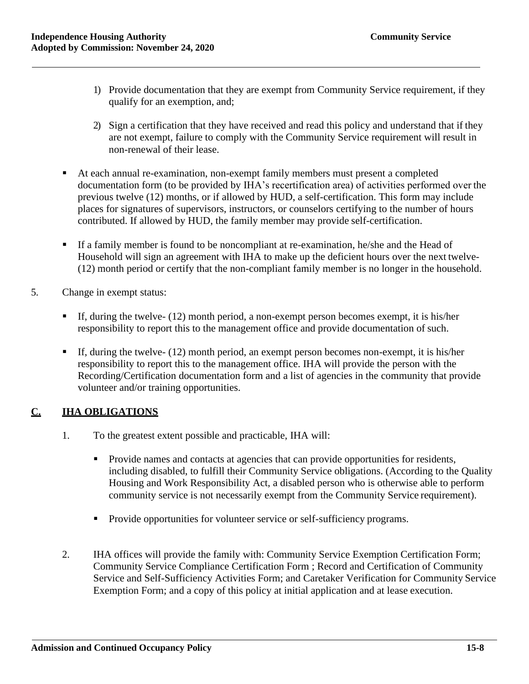- 1) Provide documentation that they are exempt from Community Service requirement, if they qualify for an exemption, and;
- 2) Sign a certification that they have received and read this policy and understand that if they are not exempt, failure to comply with the Community Service requirement will result in non-renewal of their lease.
- At each annual re-examination, non-exempt family members must present a completed documentation form (to be provided by IHA's recertification area) of activities performed over the previous twelve (12) months, or if allowed by HUD, a self-certification. This form may include places for signatures of supervisors, instructors, or counselors certifying to the number of hours contributed. If allowed by HUD, the family member may provide self-certification.
- **If a family member is found to be noncompliant at re-examination, he/she and the Head of** Household will sign an agreement with IHA to make up the deficient hours over the next twelve- (12) month period or certify that the non-compliant family member is no longer in the household.
- 5. Change in exempt status:
	- $\blacksquare$  If, during the twelve- (12) month period, a non-exempt person becomes exempt, it is his/her responsibility to report this to the management office and provide documentation of such.
	- $\blacksquare$  If, during the twelve- (12) month period, an exempt person becomes non-exempt, it is his/her responsibility to report this to the management office. IHA will provide the person with the Recording/Certification documentation form and a list of agencies in the community that provide volunteer and/or training opportunities.

### **C. IHA OBLIGATIONS**

- 1. To the greatest extent possible and practicable, IHA will:
	- Provide names and contacts at agencies that can provide opportunities for residents, including disabled, to fulfill their Community Service obligations. (According to the Quality Housing and Work Responsibility Act, a disabled person who is otherwise able to perform community service is not necessarily exempt from the Community Service requirement).
	- Provide opportunities for volunteer service or self-sufficiency programs.
- 2. IHA offices will provide the family with: Community Service Exemption Certification Form; Community Service Compliance Certification Form ; Record and Certification of Community Service and Self-Sufficiency Activities Form; and Caretaker Verification for Community Service Exemption Form; and a copy of this policy at initial application and at lease execution.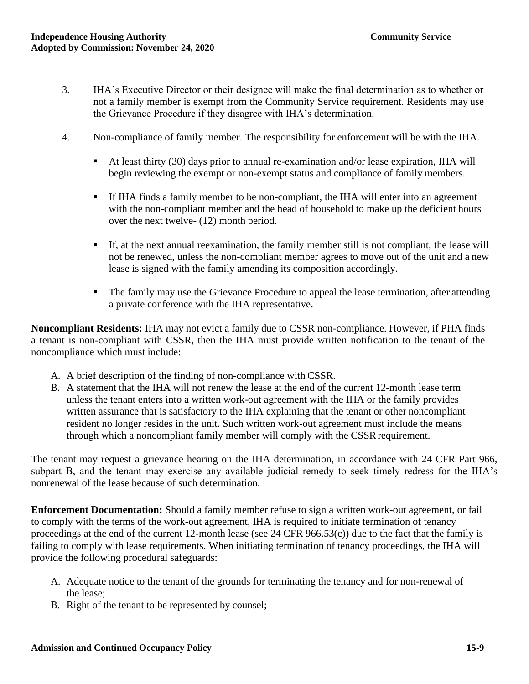- 3. IHA's Executive Director or their designee will make the final determination as to whether or not a family member is exempt from the Community Service requirement. Residents may use the Grievance Procedure if they disagree with IHA's determination.
- 4. Non-compliance of family member. The responsibility for enforcement will be with the IHA.
	- At least thirty (30) days prior to annual re-examination and/or lease expiration, IHA will begin reviewing the exempt or non-exempt status and compliance of family members.
	- **•** If IHA finds a family member to be non-compliant, the IHA will enter into an agreement with the non-compliant member and the head of household to make up the deficient hours over the next twelve- (12) month period.
	- If, at the next annual reexamination, the family member still is not compliant, the lease will not be renewed, unless the non-compliant member agrees to move out of the unit and a new lease is signed with the family amending its composition accordingly.
	- **The family may use the Grievance Procedure to appeal the lease termination, after attending** a private conference with the IHA representative.

**Noncompliant Residents:** IHA may not evict a family due to CSSR non-compliance. However, if PHA finds a tenant is non-compliant with CSSR, then the IHA must provide written notification to the tenant of the noncompliance which must include:

- A. A brief description of the finding of non-compliance with CSSR.
- B. A statement that the IHA will not renew the lease at the end of the current 12-month lease term unless the tenant enters into a written work-out agreement with the IHA or the family provides written assurance that is satisfactory to the IHA explaining that the tenant or other noncompliant resident no longer resides in the unit. Such written work-out agreement must include the means through which a noncompliant family member will comply with the CSSR requirement.

The tenant may request a grievance hearing on the IHA determination, in accordance with 24 CFR Part 966, subpart B, and the tenant may exercise any available judicial remedy to seek timely redress for the IHA's nonrenewal of the lease because of such determination.

**Enforcement Documentation:** Should a family member refuse to sign a written work-out agreement, or fail to comply with the terms of the work-out agreement, IHA is required to initiate termination of tenancy proceedings at the end of the current 12-month lease (see 24 CFR 966.53(c)) due to the fact that the family is failing to comply with lease requirements. When initiating termination of tenancy proceedings, the IHA will provide the following procedural safeguards:

- A. Adequate notice to the tenant of the grounds for terminating the tenancy and for non-renewal of the lease;
- B. Right of the tenant to be represented by counsel;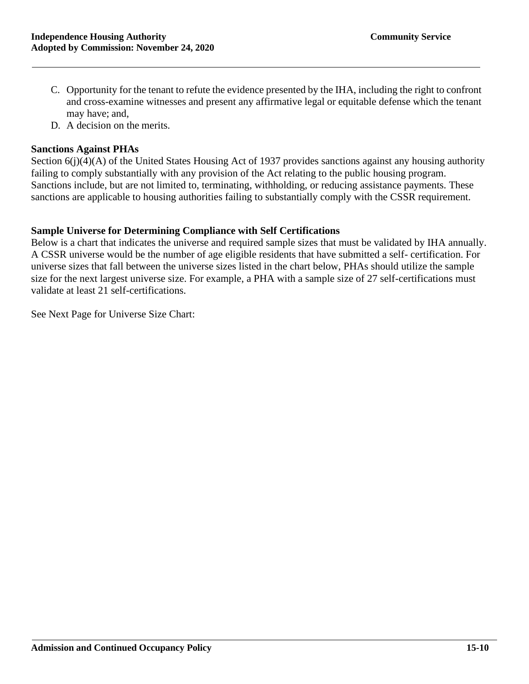- C. Opportunity for the tenant to refute the evidence presented by the IHA, including the right to confront and cross-examine witnesses and present any affirmative legal or equitable defense which the tenant may have; and,
- D. A decision on the merits.

#### **Sanctions Against PHAs**

Section 6(j)(4)(A) of the United States Housing Act of 1937 provides sanctions against any housing authority failing to comply substantially with any provision of the Act relating to the public housing program. Sanctions include, but are not limited to, terminating, withholding, or reducing assistance payments. These sanctions are applicable to housing authorities failing to substantially comply with the CSSR requirement.

#### **Sample Universe for Determining Compliance with Self Certifications**

Below is a chart that indicates the universe and required sample sizes that must be validated by IHA annually. A CSSR universe would be the number of age eligible residents that have submitted a self- certification. For universe sizes that fall between the universe sizes listed in the chart below, PHAs should utilize the sample size for the next largest universe size. For example, a PHA with a sample size of 27 self-certifications must validate at least 21 self-certifications.

See Next Page for Universe Size Chart: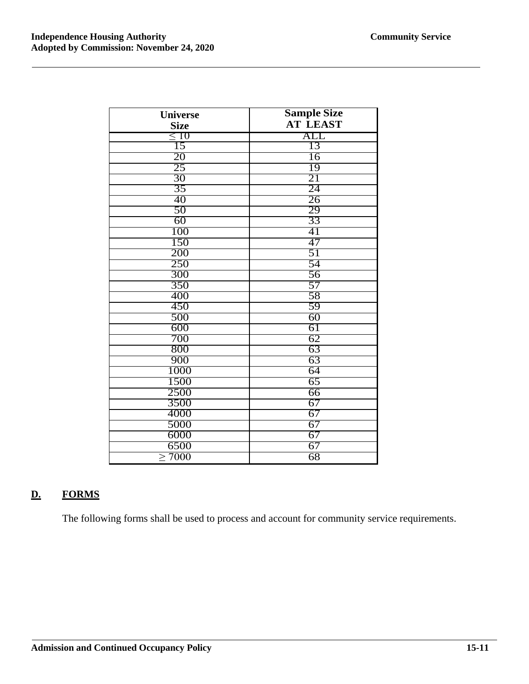| <b>Universe</b> | <b>Sample Size</b> |
|-----------------|--------------------|
| <b>Size</b>     | <b>AT LEAST</b>    |
| $\leq 10$       | ALL                |
| 15              | 13                 |
| 20              | 16                 |
| 25              | 19                 |
| 30              | 21                 |
| 35              | 24                 |
| 40              | 26                 |
| 50              | 29                 |
| 60              | 33                 |
| 100             | 41                 |
| 150             | 47                 |
| 200             | 51                 |
| 250             | 54                 |
| 300             | 56                 |
| 350             | 57                 |
| 400             | 58                 |
| 450             | 59                 |
| 500             | 60                 |
| 600             | 61                 |
| 700             | 62                 |
| 800             | 63                 |
| 900             | 63                 |
| 1000            | 64                 |
| 1500            | 65                 |
| 2500            | 66                 |
| 3500            | 67                 |
| 4000            | 67                 |
| 5000            | 67                 |
| 6000            | 67                 |
| 6500            | 67                 |
| $\geq 7000$     | 68                 |

## **D. FORMS**

The following forms shall be used to process and account for community service requirements.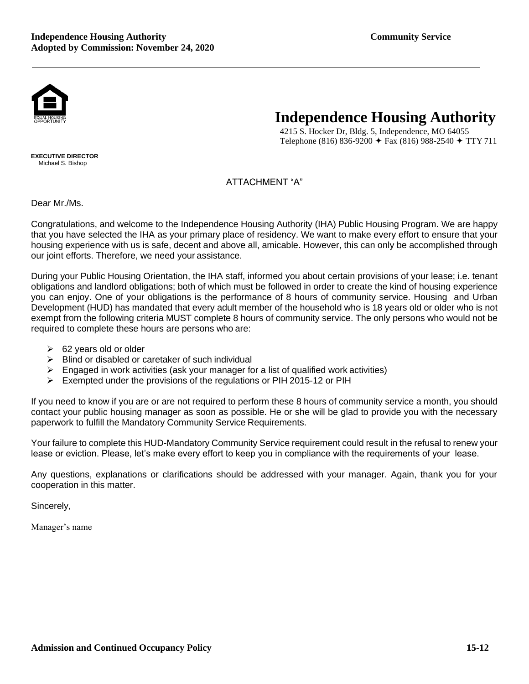

4215 S. Hocker Dr, Bldg. 5, Independence, MO 64055 Telephone (816) 836-9200  $\div$  Fax (816) 988-2540  $\div$  TTY 711

**EXECUTIVE DIRECTOR** Michael S. Bishop

#### ATTACHMENT "A"

Dear Mr./Ms.

Congratulations, and welcome to the Independence Housing Authority (IHA) Public Housing Program. We are happy that you have selected the IHA as your primary place of residency. We want to make every effort to ensure that your housing experience with us is safe, decent and above all, amicable. However, this can only be accomplished through our joint efforts. Therefore, we need your assistance.

During your Public Housing Orientation, the IHA staff, informed you about certain provisions of your lease; i.e. tenant obligations and landlord obligations; both of which must be followed in order to create the kind of housing experience you can enjoy. One of your obligations is the performance of 8 hours of community service. Housing and Urban Development (HUD) has mandated that every adult member of the household who is 18 years old or older who is not exempt from the following criteria MUST complete 8 hours of community service. The only persons who would not be required to complete these hours are persons who are:

- $\geq$  62 years old or older
- $\triangleright$  Blind or disabled or caretaker of such individual
- ➢ Engaged in work activities (ask your manager for a list of qualified work activities)
- $\triangleright$  Exempted under the provisions of the regulations or PIH 2015-12 or PIH

If you need to know if you are or are not required to perform these 8 hours of community service a month, you should contact your public housing manager as soon as possible. He or she will be glad to provide you with the necessary paperwork to fulfill the Mandatory Community Service Requirements.

Your failure to complete this HUD-Mandatory Community Service requirement could result in the refusal to renew your lease or eviction. Please, let's make every effort to keep you in compliance with the requirements of your lease.

Any questions, explanations or clarifications should be addressed with your manager. Again, thank you for your cooperation in this matter.

Sincerely,

Manager's name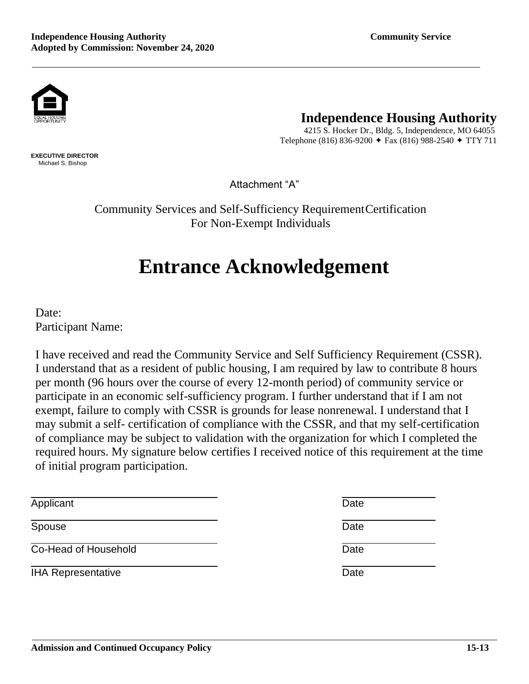

**EXECUTIVE DIRECTOR** Michael S. Bishop

## **Independence Housing Authority**

 4215 S. Hocker Dr., Bldg. 5, Independence, MO 64055 Telephone (816) 836-9200  $\div$  Fax (816) 988-2540  $\div$  TTY 711

Attachment "A"

Community Services and Self-Sufficiency RequirementCertification For Non-Exempt Individuals

# **Entrance Acknowledgement**

Date: Participant Name:

I have received and read the Community Service and Self Sufficiency Requirement (CSSR). I understand that as a resident of public housing, I am required by law to contribute 8 hours per month (96 hours over the course of every 12-month period) of community service or participate in an economic self-sufficiency program. I further understand that if I am not exempt, failure to comply with CSSR is grounds for lease nonrenewal. I understand that I may submit a self- certification of compliance with the CSSR, and that my self-certification of compliance may be subject to validation with the organization for which I completed the required hours. My signature below certifies I received notice of this requirement at the time of initial program participation.

| Applicant                 | Date |
|---------------------------|------|
| Spouse                    | Date |
| Co-Head of Household      | Date |
| <b>IHA Representative</b> | Date |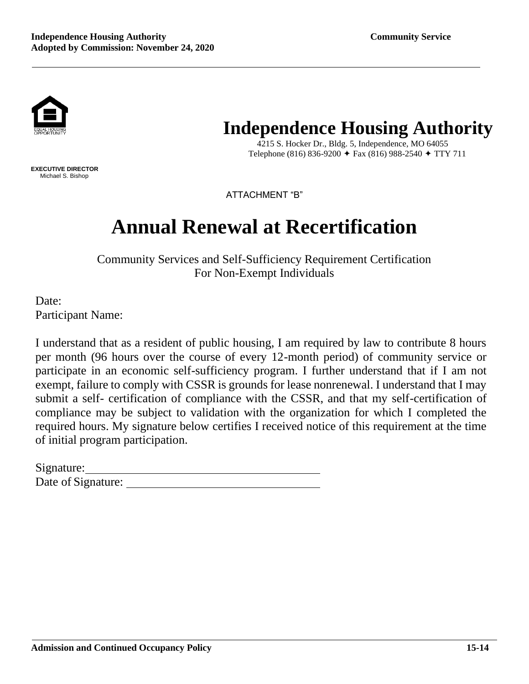

**EXECUTIVE DIRECTOR** Michael S. Bishop

## **Independence Housing Authority**

 4215 S. Hocker Dr., Bldg. 5, Independence, MO 64055 Telephone (816) 836-9200  $\div$  Fax (816) 988-2540  $\div$  TTY 711

ATTACHMENT "B"

# **Annual Renewal at Recertification**

Community Services and Self-Sufficiency Requirement Certification For Non-Exempt Individuals

Date: Participant Name:

I understand that as a resident of public housing, I am required by law to contribute 8 hours per month (96 hours over the course of every 12-month period) of community service or participate in an economic self-sufficiency program. I further understand that if I am not exempt, failure to comply with CSSR is grounds for lease nonrenewal. I understand that I may submit a self- certification of compliance with the CSSR, and that my self-certification of compliance may be subject to validation with the organization for which I completed the required hours. My signature below certifies I received notice of this requirement at the time of initial program participation.

| Signature:         |  |
|--------------------|--|
| Date of Signature: |  |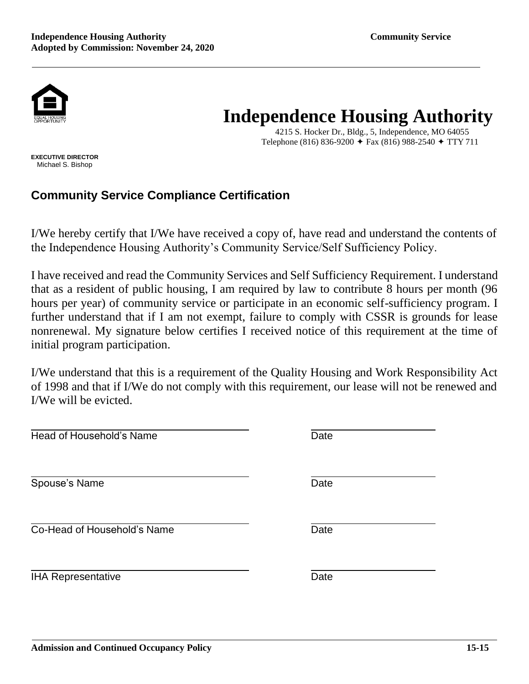

4215 S. Hocker Dr., Bldg., 5, Independence, MO 64055 Telephone (816) 836-9200  $\div$  Fax (816) 988-2540  $\div$  TTY 711

**EXECUTIVE DIRECTOR** Michael S. Bishop

## **Community Service Compliance Certification**

I/We hereby certify that I/We have received a copy of, have read and understand the contents of the Independence Housing Authority's Community Service/Self Sufficiency Policy.

I have received and read the Community Services and Self Sufficiency Requirement. I understand that as a resident of public housing, I am required by law to contribute 8 hours per month (96 hours per year) of community service or participate in an economic self-sufficiency program. I further understand that if I am not exempt, failure to comply with CSSR is grounds for lease nonrenewal. My signature below certifies I received notice of this requirement at the time of initial program participation.

I/We understand that this is a requirement of the Quality Housing and Work Responsibility Act of 1998 and that if I/We do not comply with this requirement, our lease will not be renewed and I/We will be evicted.

| Head of Household's Name    | Date |
|-----------------------------|------|
| Spouse's Name               | Date |
| Co-Head of Household's Name | Date |
| <b>IHA Representative</b>   | Date |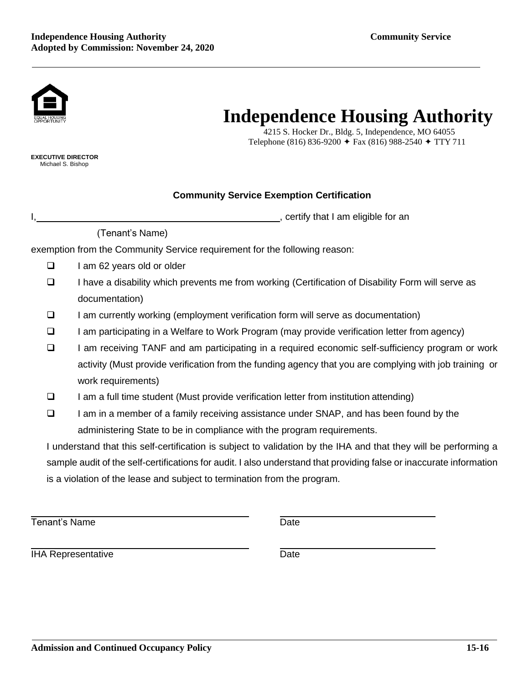

 4215 S. Hocker Dr., Bldg. 5, Independence, MO 64055 Telephone (816) 836-9200  $\div$  Fax (816) 988-2540  $\div$  TTY 711

**EXECUTIVE DIRECTOR** Michael S. Bishop

#### **Community Service Exemption Certification**

I, the same of the set of the set of the set of the set of the set of the set of the set of the set of the set of the set of the set of the set of the set of the set of the set of the set of the set of the set of the set o

#### (Tenant's Name)

exemption from the Community Service requirement for the following reason:

- ❑ I am 62 years old or older
- ❑ I have a disability which prevents me from working (Certification of Disability Form will serve as documentation)
- ❑ I am currently working (employment verification form will serve as documentation)
- ❑ I am participating in a Welfare to Work Program (may provide verification letter from agency)
- ❑ I am receiving TANF and am participating in a required economic self-sufficiency program or work activity (Must provide verification from the funding agency that you are complying with job training or work requirements)
- ❑ I am a full time student (Must provide verification letter from institution attending)
- ❑ I am in a member of a family receiving assistance under SNAP, and has been found by the administering State to be in compliance with the program requirements.

I understand that this self-certification is subject to validation by the IHA and that they will be performing a sample audit of the self-certifications for audit. I also understand that providing false or inaccurate information is a violation of the lease and subject to termination from the program.

Tenant's Name **Date** 

**IHA Representative Date**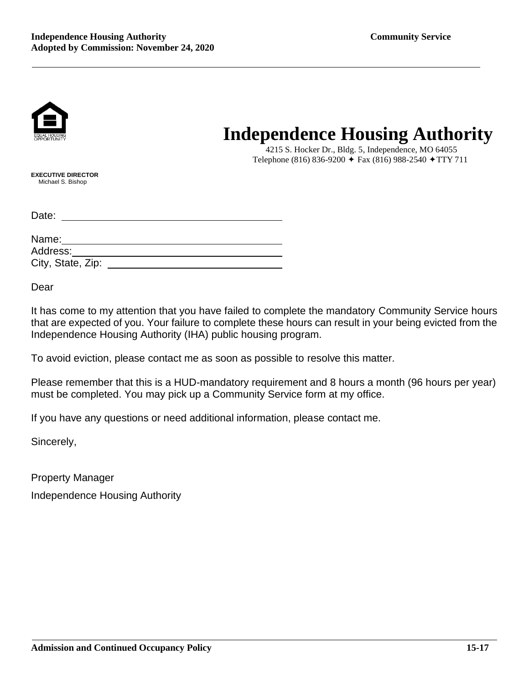

 4215 S. Hocker Dr., Bldg. 5, Independence, MO 64055 Telephone (816) 836-9200  $\div$  Fax (816) 988-2540  $\div$  TTY 711

**EXECUTIVE DIRECTOR** Michael S. Bishop

Date:

| Name:             |  |
|-------------------|--|
| Address:          |  |
| City, State, Zip: |  |

Dear

It has come to my attention that you have failed to complete the mandatory Community Service hours that are expected of you. Your failure to complete these hours can result in your being evicted from the Independence Housing Authority (IHA) public housing program.

To avoid eviction, please contact me as soon as possible to resolve this matter.

Please remember that this is a HUD-mandatory requirement and 8 hours a month (96 hours per year) must be completed. You may pick up a Community Service form at my office.

If you have any questions or need additional information, please contact me.

Sincerely,

Property Manager Independence Housing Authority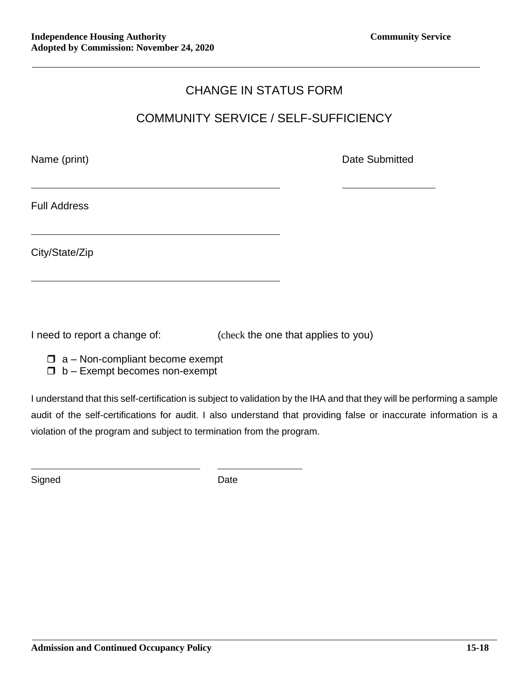## CHANGE IN STATUS FORM

## COMMUNITY SERVICE / SELF-SUFFICIENCY

Name (print) **Name** (print)

Full Address

City/State/Zip

I need to report a change of: (check the one that applies to you)

 $\Box$  a – Non-compliant become exempt

 $\Box$  b – Exempt becomes non-exempt

I understand that this self-certification is subject to validation by the IHA and that they will be performing a sample audit of the self-certifications for audit. I also understand that providing false or inaccurate information is a violation of the program and subject to termination from the program.

Signed Date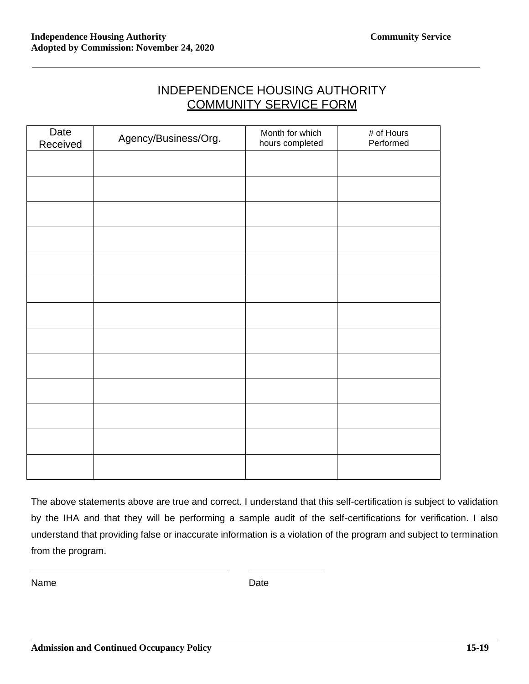| <b>INDEPENDENCE HOUSING AUTHORITY</b> |
|---------------------------------------|
| <b>COMMUNITY SERVICE FORM</b>         |

| Date<br>Received | Agency/Business/Org. | Month for which<br>hours completed | # of Hours<br>Performed |
|------------------|----------------------|------------------------------------|-------------------------|
|                  |                      |                                    |                         |
|                  |                      |                                    |                         |
|                  |                      |                                    |                         |
|                  |                      |                                    |                         |
|                  |                      |                                    |                         |
|                  |                      |                                    |                         |
|                  |                      |                                    |                         |
|                  |                      |                                    |                         |
|                  |                      |                                    |                         |
|                  |                      |                                    |                         |
|                  |                      |                                    |                         |
|                  |                      |                                    |                         |
|                  |                      |                                    |                         |

The above statements above are true and correct. I understand that this self-certification is subject to validation by the IHA and that they will be performing a sample audit of the self-certifications for verification. I also understand that providing false or inaccurate information is a violation of the program and subject to termination from the program.

Name Date Date